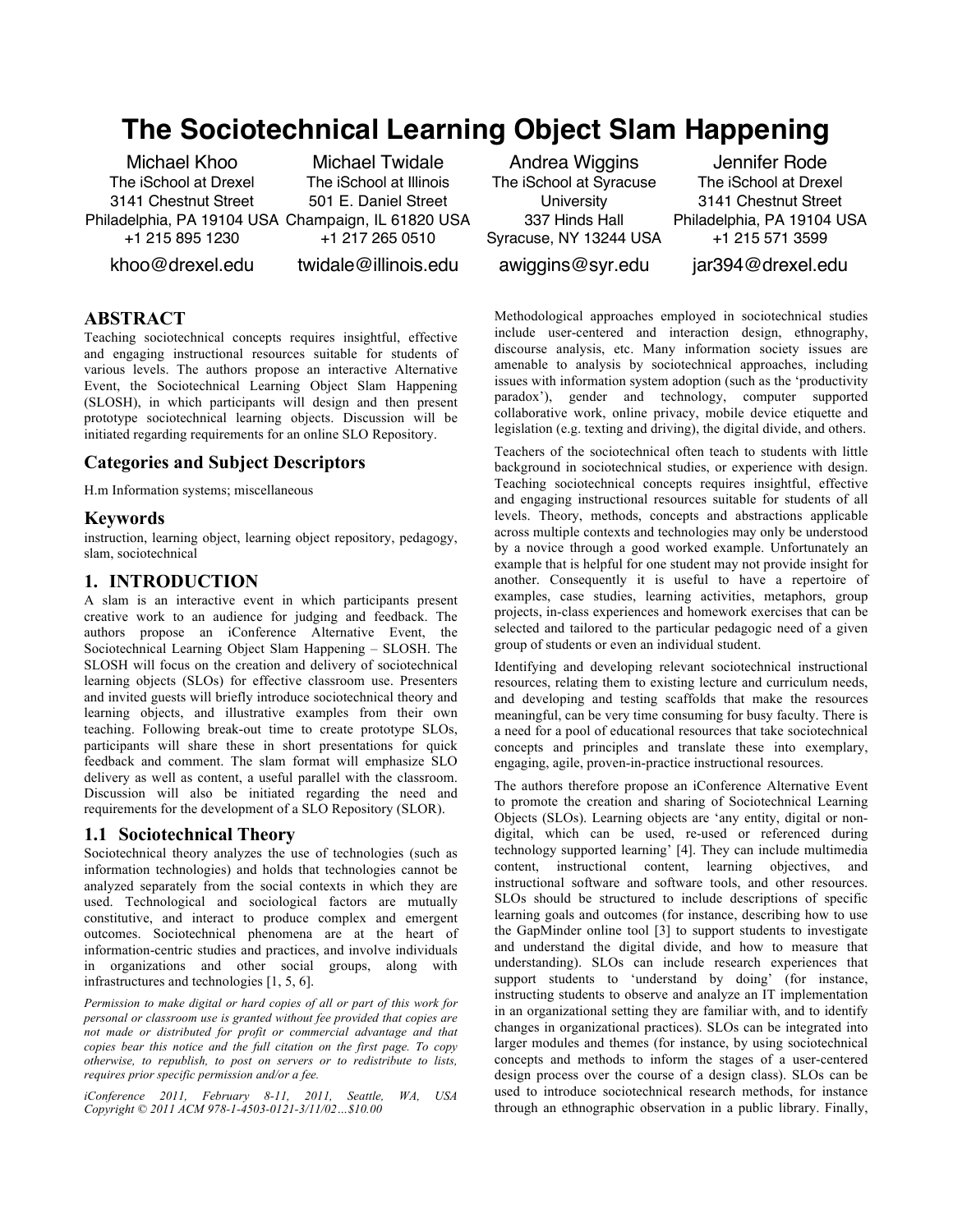# **The Sociotechnical Learning Object Slam Happening**

Michael Khoo The iSchool at Drexel 3141 Chestnut Street Philadelphia, PA 19104 USA Champaign, IL 61820 USA +1 215 895 1230

Michael Twidale The iSchool at Illinois 501 E. Daniel Street +1 217 265 0510

khoo@drexel.edu

twidale@illinois.edu

#### **ABSTRACT**

Teaching sociotechnical concepts requires insightful, effective and engaging instructional resources suitable for students of various levels. The authors propose an interactive Alternative Event, the Sociotechnical Learning Object Slam Happening (SLOSH), in which participants will design and then present prototype sociotechnical learning objects. Discussion will be initiated regarding requirements for an online SLO Repository.

#### **Categories and Subject Descriptors**

H.m Information systems; miscellaneous

#### **Keywords**

instruction, learning object, learning object repository, pedagogy, slam, sociotechnical

## **1. INTRODUCTION**

A slam is an interactive event in which participants present creative work to an audience for judging and feedback. The authors propose an iConference Alternative Event, the Sociotechnical Learning Object Slam Happening – SLOSH. The SLOSH will focus on the creation and delivery of sociotechnical learning objects (SLOs) for effective classroom use. Presenters and invited guests will briefly introduce sociotechnical theory and learning objects, and illustrative examples from their own teaching. Following break-out time to create prototype SLOs, participants will share these in short presentations for quick feedback and comment. The slam format will emphasize SLO delivery as well as content, a useful parallel with the classroom. Discussion will also be initiated regarding the need and requirements for the development of a SLO Repository (SLOR).

#### **1.1 Sociotechnical Theory**

Sociotechnical theory analyzes the use of technologies (such as information technologies) and holds that technologies cannot be analyzed separately from the social contexts in which they are used. Technological and sociological factors are mutually constitutive, and interact to produce complex and emergent outcomes. Sociotechnical phenomena are at the heart of information-centric studies and practices, and involve individuals in organizations and other social groups, along with infrastructures and technologies [1, 5, 6].

*Permission to make digital or hard copies of all or part of this work for personal or classroom use is granted without fee provided that copies are not made or distributed for profit or commercial advantage and that copies bear this notice and the full citation on the first page. To copy otherwise, to republish, to post on servers or to redistribute to lists, requires prior specific permission and/or a fee.*

*iConference 2011, February 8-11, 2011, Seattle, WA, USA Copyright © 2011 ACM 978-1-4503-0121-3/11/02…\$10.00*

Andrea Wiggins The iSchool at Syracuse **University** 337 Hinds Hall Syracuse, NY 13244 USA

Jennifer Rode The iSchool at Drexel 3141 Chestnut Street Philadelphia, PA 19104 USA +1 215 571 3599

awiggins@syr.edu

jar394@drexel.edu

Methodological approaches employed in sociotechnical studies include user-centered and interaction design, ethnography, discourse analysis, etc. Many information society issues are amenable to analysis by sociotechnical approaches, including issues with information system adoption (such as the 'productivity paradox'), gender and technology, computer supported collaborative work, online privacy, mobile device etiquette and legislation (e.g. texting and driving), the digital divide, and others.

Teachers of the sociotechnical often teach to students with little background in sociotechnical studies, or experience with design. Teaching sociotechnical concepts requires insightful, effective and engaging instructional resources suitable for students of all levels. Theory, methods, concepts and abstractions applicable across multiple contexts and technologies may only be understood by a novice through a good worked example. Unfortunately an example that is helpful for one student may not provide insight for another. Consequently it is useful to have a repertoire of examples, case studies, learning activities, metaphors, group projects, in-class experiences and homework exercises that can be selected and tailored to the particular pedagogic need of a given group of students or even an individual student.

Identifying and developing relevant sociotechnical instructional resources, relating them to existing lecture and curriculum needs, and developing and testing scaffolds that make the resources meaningful, can be very time consuming for busy faculty. There is a need for a pool of educational resources that take sociotechnical concepts and principles and translate these into exemplary, engaging, agile, proven-in-practice instructional resources.

The authors therefore propose an iConference Alternative Event to promote the creation and sharing of Sociotechnical Learning Objects (SLOs). Learning objects are 'any entity, digital or nondigital, which can be used, re-used or referenced during technology supported learning' [4]. They can include multimedia content, instructional content, learning objectives, and instructional software and software tools, and other resources. SLOs should be structured to include descriptions of specific learning goals and outcomes (for instance, describing how to use the GapMinder online tool [3] to support students to investigate and understand the digital divide, and how to measure that understanding). SLOs can include research experiences that support students to 'understand by doing' (for instance, instructing students to observe and analyze an IT implementation in an organizational setting they are familiar with, and to identify changes in organizational practices). SLOs can be integrated into larger modules and themes (for instance, by using sociotechnical concepts and methods to inform the stages of a user-centered design process over the course of a design class). SLOs can be used to introduce sociotechnical research methods, for instance through an ethnographic observation in a public library. Finally,